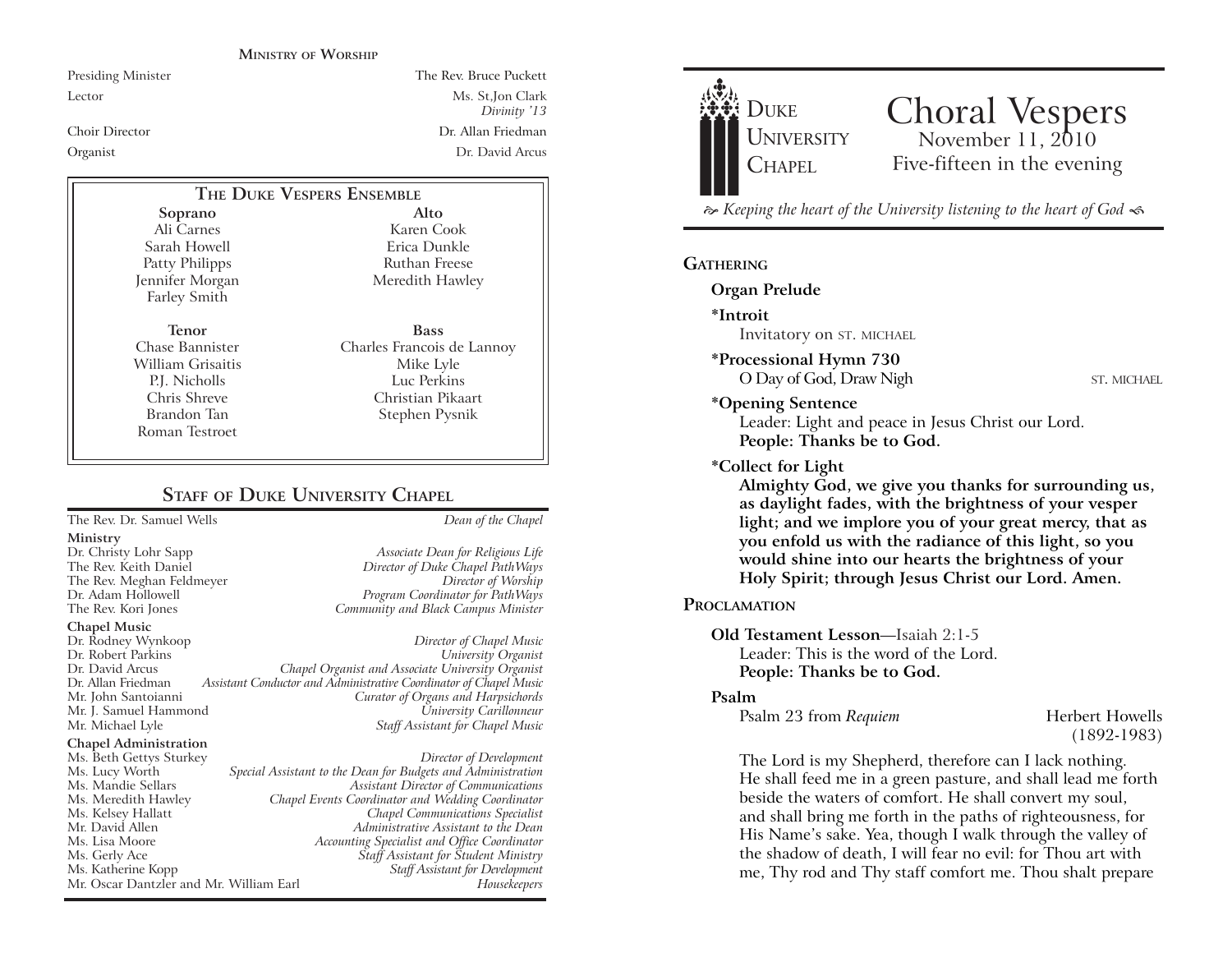#### **MINISTRY OF WORSHIP**

Presiding Minister The Rev. Bruce Puckett Lector Ms. St,Jon Clark *Divinity* '13 Choir Director Dr. Allan Friedman Organist Dr. David Arcus

## **THE DUKE VESPERS ENSEMBLE**

**Soprano** Ali Carnes Sarah Howell Patty Philipps Jennifer Morgan Farley Smith

**Tenor** Chase Bannister William Grisaitis P.J. Nicholls Chris Shreve Brandon Tan Roman Testroet

Ruthan Freese Meredith Hawley **Bass** Charles Francois de Lannoy Mike Lyle Luc Perkins

> Christian Pikaart Stephen Pysnik

**Alto** Karen Cook Erica Dunkle

## **STAFF** OF **DUKE UNIVERSITY CHAPEL**

The Rev. Dr. Samuel Wells *Dean of the Chapel*

- **Ministry**
- 

**Chapel Music**

Dr. Rodney Wynkoop *Director of Chapel Music* Dr. David Arcus *Chapel Organist and Associate University Organist* Dr. Allan Friedman *Assistant Conductor and Administrative Coordinator of Chapel Music* Mr. J. Samuel Hammond *University Carillonneur* **Staff Assistant for Chapel Music** 

#### **Chapel Administration**

Ms. Beth Gettys Sturkey *Director of Development* Ms. Lucy Worth *Special Assistant to the Dean for Budgets and Administration* Ms. Meredith Hawley *Chapel Events Coordinator and Wedding Coordinator* Mr. David Allen *Administrative Assistant to the Dean* Ms. Lisa Moore *Accounting Specialist and Office Coordinator* Ms. Gerly Ace *Staff Assistant for Student Ministry* Mr. Oscar Dantzler and Mr. William Earl

Dr. Christy Lohr Sapp *Associate Dean for Religious Life* Director of Duke Chapel PathWays The Rev. Meghan Feldmeyer *Director of Worship* Dr. Adam Hollowell *Program Coordinator for PathWays* The Rev. Kori Jones *Community and Black Campus Minister*

# $University$  *Organist* **Curator of Organs and Harpsichords**

Ms. Mandie Sellars *Assistant Director of Communications* Ms. Kelsey Hallatt *Chapel Communications Specialist* Ms. Katherine Kopp *Staff Assistant for Development*



# Choral Vespers<br>November 11, 2010 Five-fifteen in the evening

 $\approx$  Keeping the heart of the University listening to the heart of God  $\ll$ 

#### **GATHERING**

#### **Organ Prelude**

**\*Introit** 

Invitatory on ST. MICHAEL

**\*Processional Hymn 730** O Day of God, Draw Nigh ST. MICHAEL

#### **\*Opening Sentence**

Leader: Light and peace in Jesus Christ our Lord. **People: Thanks be to God.**

#### **\*Collect for Light**

**Almighty God, we give you thanks for surrounding us, as daylight fades, with the brightness of your vesper light; and we implore you of your great mercy, that as you enfold us with the radiance of this light, so you would shine into our hearts the brightness of your Holy Spirit; through Jesus Christ our Lord. Amen.** 

#### **PROCLAMATION**

#### **Old Testament Lesson**—Isaiah 2:1-5 Leader: This is the word of the Lord. **People: Thanks be to God.**

#### **Psalm**

Psalm 23 from *Requiem* Herbert Howells

(1892-1983)

The Lord is my Shepherd, therefore can I lack nothing. He shall feed me in a green pasture, and shall lead me forth beside the waters of comfort. He shall convert my soul, and shall bring me forth in the paths of righteousness, for His Name's sake. Yea, though I walk through the valley of the shadow of death, I will fear no evil: for Thou art with me, Thy rod and Thy staff comfort me. Thou shalt prepare